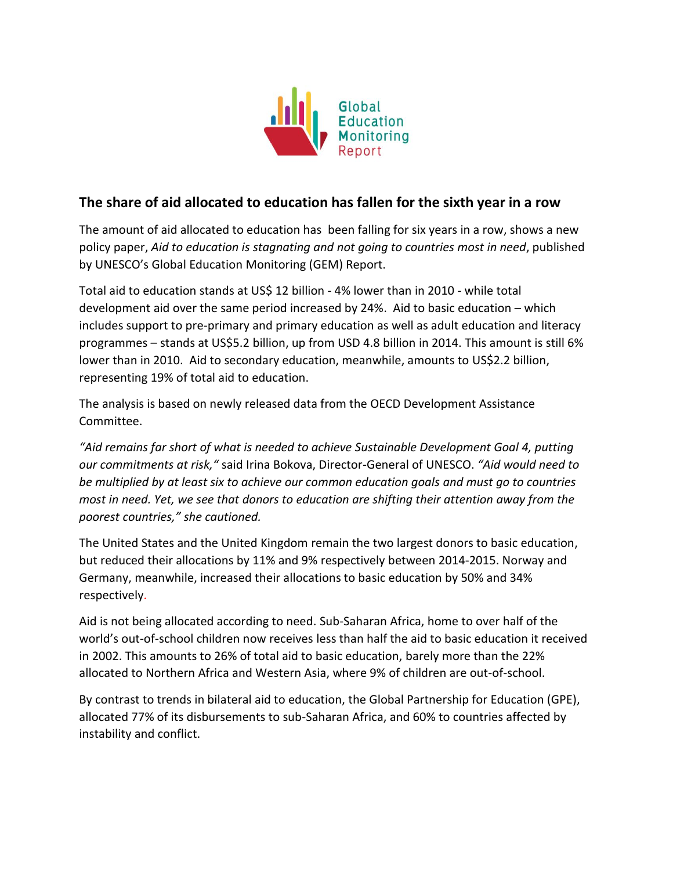

## **The share of aid allocated to education has fallen for the sixth year in a row**

The amount of aid allocated to education has been falling for six years in a row, shows a new policy paper, *Aid to education is stagnating and not going to countries most in need*, published by UNESCO's Global Education Monitoring (GEM) Report.

Total aid to education stands at US\$ 12 billion - 4% lower than in 2010 - while total development aid over the same period increased by 24%. Aid to basic education – which includes support to pre-primary and primary education as well as adult education and literacy programmes – stands at US\$5.2 billion, up from USD 4.8 billion in 2014. This amount is still 6% lower than in 2010. Aid to secondary education, meanwhile, amounts to US\$2.2 billion, representing 19% of total aid to education.

The analysis is based on newly released data from the OECD Development Assistance Committee.

*"Aid remains far short of what is needed to achieve Sustainable Development Goal 4, putting our commitments at risk,"* said Irina Bokova, Director-General of UNESCO. *"Aid would need to be multiplied by at least six to achieve our common education goals and must go to countries most in need. Yet, we see that donors to education are shifting their attention away from the poorest countries," she cautioned.*

The United States and the United Kingdom remain the two largest donors to basic education, but reduced their allocations by 11% and 9% respectively between 2014-2015. Norway and Germany, meanwhile, increased their allocations to basic education by 50% and 34% respectively.

Aid is not being allocated according to need. Sub-Saharan Africa, home to over half of the world's out-of-school children now receives less than half the aid to basic education it received in 2002. This amounts to 26% of total aid to basic education, barely more than the 22% allocated to Northern Africa and Western Asia, where 9% of children are out-of-school.

By contrast to trends in bilateral aid to education, the Global Partnership for Education (GPE), allocated 77% of its disbursements to sub-Saharan Africa, and 60% to countries affected by instability and conflict.